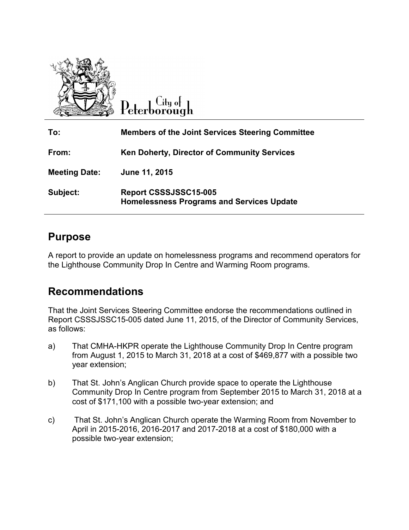

.itu ot eterborough

| To:                  | <b>Members of the Joint Services Steering Committee</b>                   |
|----------------------|---------------------------------------------------------------------------|
| From:                | Ken Doherty, Director of Community Services                               |
| <b>Meeting Date:</b> | June 11, 2015                                                             |
| Subject:             | Report CSSSJSSC15-005<br><b>Homelessness Programs and Services Update</b> |

# **Purpose**

A report to provide an update on homelessness programs and recommend operators for the Lighthouse Community Drop In Centre and Warming Room programs.

# **Recommendations**

That the Joint Services Steering Committee endorse the recommendations outlined in Report CSSSJSSC15-005 dated June 11, 2015, of the Director of Community Services, as follows:

- a) That CMHA-HKPR operate the Lighthouse Community Drop In Centre program from August 1, 2015 to March 31, 2018 at a cost of \$469,877 with a possible two year extension;
- b) That St. John's Anglican Church provide space to operate the Lighthouse Community Drop In Centre program from September 2015 to March 31, 2018 at a cost of \$171,100 with a possible two-year extension; and
- c) That St. John's Anglican Church operate the Warming Room from November to April in 2015-2016, 2016-2017 and 2017-2018 at a cost of \$180,000 with a possible two-year extension;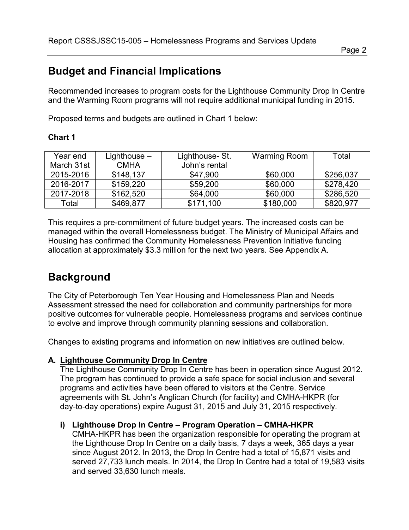# **Budget and Financial Implications**

Recommended increases to program costs for the Lighthouse Community Drop In Centre and the Warming Room programs will not require additional municipal funding in 2015.

Proposed terms and budgets are outlined in Chart 1 below:

### **Chart 1**

| Year end   | Lighthouse $-$ | Lighthouse-St. | Warming Room | Total     |
|------------|----------------|----------------|--------------|-----------|
| March 31st | <b>CMHA</b>    | John's rental  |              |           |
| 2015-2016  | \$148,137      | \$47,900       | \$60,000     | \$256,037 |
| 2016-2017  | \$159,220      | \$59,200       | \$60,000     | \$278,420 |
| 2017-2018  | \$162,520      | \$64,000       | \$60,000     | \$286,520 |
| Total      | \$469,877      | \$171,100      | \$180,000    | \$820,977 |

This requires a pre-commitment of future budget years. The increased costs can be managed within the overall Homelessness budget. The Ministry of Municipal Affairs and Housing has confirmed the Community Homelessness Prevention Initiative funding allocation at approximately \$3.3 million for the next two years. See Appendix A.

# **Background**

The City of Peterborough Ten Year Housing and Homelessness Plan and Needs Assessment stressed the need for collaboration and community partnerships for more positive outcomes for vulnerable people. Homelessness programs and services continue to evolve and improve through community planning sessions and collaboration.

Changes to existing programs and information on new initiatives are outlined below.

### **A. Lighthouse Community Drop In Centre**

The Lighthouse Community Drop In Centre has been in operation since August 2012. The program has continued to provide a safe space for social inclusion and several programs and activities have been offered to visitors at the Centre. Service agreements with St. John's Anglican Church (for facility) and CMHA-HKPR (for day-to-day operations) expire August 31, 2015 and July 31, 2015 respectively.

## **i) Lighthouse Drop In Centre – Program Operation – CMHA-HKPR**

CMHA-HKPR has been the organization responsible for operating the program at the Lighthouse Drop In Centre on a daily basis, 7 days a week, 365 days a year since August 2012. In 2013, the Drop In Centre had a total of 15,871 visits and served 27,733 lunch meals. In 2014, the Drop In Centre had a total of 19,583 visits and served 33,630 lunch meals.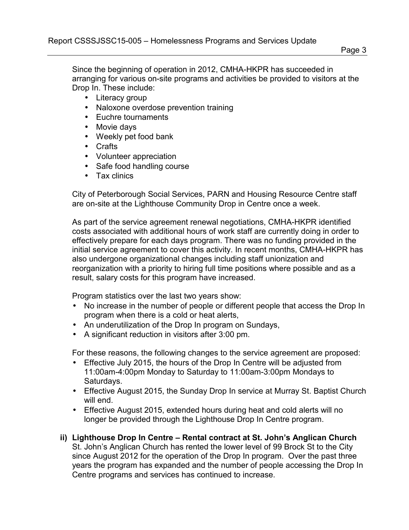Since the beginning of operation in 2012, CMHA-HKPR has succeeded in arranging for various on-site programs and activities be provided to visitors at the Drop In. These include:

- Literacy group
- Naloxone overdose prevention training
- Euchre tournaments
- Movie days
- Weekly pet food bank
- Crafts
- Volunteer appreciation
- Safe food handling course
- Tax clinics

City of Peterborough Social Services, PARN and Housing Resource Centre staff are on-site at the Lighthouse Community Drop in Centre once a week.

As part of the service agreement renewal negotiations, CMHA-HKPR identified costs associated with additional hours of work staff are currently doing in order to effectively prepare for each days program. There was no funding provided in the initial service agreement to cover this activity. In recent months, CMHA-HKPR has also undergone organizational changes including staff unionization and reorganization with a priority to hiring full time positions where possible and as a result, salary costs for this program have increased.

Program statistics over the last two years show:

- No increase in the number of people or different people that access the Drop In program when there is a cold or heat alerts,
- An underutilization of the Drop In program on Sundays,
- A significant reduction in visitors after 3:00 pm.

For these reasons, the following changes to the service agreement are proposed:

- Effective July 2015, the hours of the Drop In Centre will be adjusted from 11:00am-4:00pm Monday to Saturday to 11:00am-3:00pm Mondays to Saturdays.
- Effective August 2015, the Sunday Drop In service at Murray St. Baptist Church will end.
- Effective August 2015, extended hours during heat and cold alerts will no longer be provided through the Lighthouse Drop In Centre program.
- **ii) Lighthouse Drop In Centre Rental contract at St. John's Anglican Church** St. John's Anglican Church has rented the lower level of 99 Brock St to the City since August 2012 for the operation of the Drop In program. Over the past three years the program has expanded and the number of people accessing the Drop In Centre programs and services has continued to increase.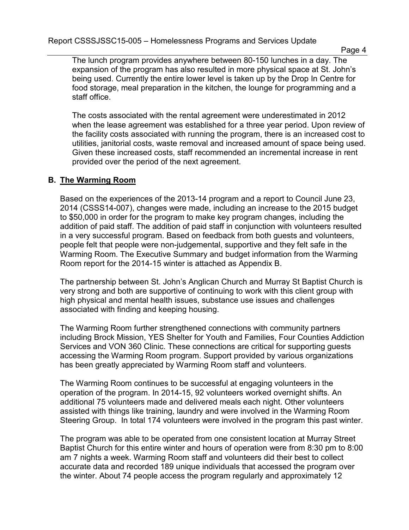Report CSSSJSSC15-005 – Homelessness Programs and Services Update

The lunch program provides anywhere between 80-150 lunches in a day. The expansion of the program has also resulted in more physical space at St. John's being used. Currently the entire lower level is taken up by the Drop In Centre for food storage, meal preparation in the kitchen, the lounge for programming and a staff office.

The costs associated with the rental agreement were underestimated in 2012 when the lease agreement was established for a three year period. Upon review of the facility costs associated with running the program, there is an increased cost to utilities, janitorial costs, waste removal and increased amount of space being used. Given these increased costs, staff recommended an incremental increase in rent provided over the period of the next agreement.

### **B. The Warming Room**

Based on the experiences of the 2013-14 program and a report to Council June 23, 2014 (CSSS14-007), changes were made, including an increase to the 2015 budget to \$50,000 in order for the program to make key program changes, including the addition of paid staff. The addition of paid staff in conjunction with volunteers resulted in a very successful program. Based on feedback from both guests and volunteers, people felt that people were non-judgemental, supportive and they felt safe in the Warming Room. The Executive Summary and budget information from the Warming Room report for the 2014-15 winter is attached as Appendix B.

The partnership between St. John's Anglican Church and Murray St Baptist Church is very strong and both are supportive of continuing to work with this client group with high physical and mental health issues, substance use issues and challenges associated with finding and keeping housing.

The Warming Room further strengthened connections with community partners including Brock Mission, YES Shelter for Youth and Families, Four Counties Addiction Services and VON 360 Clinic. These connections are critical for supporting guests accessing the Warming Room program. Support provided by various organizations has been greatly appreciated by Warming Room staff and volunteers.

The Warming Room continues to be successful at engaging volunteers in the operation of the program. In 2014-15, 92 volunteers worked overnight shifts. An additional 75 volunteers made and delivered meals each night. Other volunteers assisted with things like training, laundry and were involved in the Warming Room Steering Group. In total 174 volunteers were involved in the program this past winter.

The program was able to be operated from one consistent location at Murray Street Baptist Church for this entire winter and hours of operation were from 8:30 pm to 8:00 am 7 nights a week. Warming Room staff and volunteers did their best to collect accurate data and recorded 189 unique individuals that accessed the program over the winter. About 74 people access the program regularly and approximately 12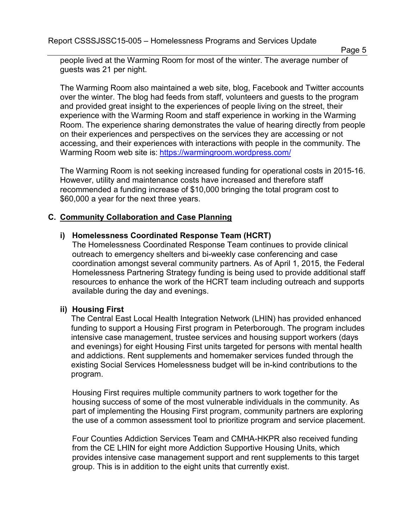Report CSSSJSSC15-005 – Homelessness Programs and Services Update

Page 5

people lived at the Warming Room for most of the winter. The average number of guests was 21 per night.

The Warming Room also maintained a web site, blog, Facebook and Twitter accounts over the winter. The blog had feeds from staff, volunteers and guests to the program and provided great insight to the experiences of people living on the street, their experience with the Warming Room and staff experience in working in the Warming Room. The experience sharing demonstrates the value of hearing directly from people on their experiences and perspectives on the services they are accessing or not accessing, and their experiences with interactions with people in the community. The Warming Room web site is: <https://warmingroom.wordpress.com/>

The Warming Room is not seeking increased funding for operational costs in 2015-16. However, utility and maintenance costs have increased and therefore staff recommended a funding increase of \$10,000 bringing the total program cost to \$60,000 a year for the next three years.

### **C. Community Collaboration and Case Planning**

#### **i) Homelessness Coordinated Response Team (HCRT)**

The Homelessness Coordinated Response Team continues to provide clinical outreach to emergency shelters and bi-weekly case conferencing and case coordination amongst several community partners. As of April 1, 2015, the Federal Homelessness Partnering Strategy funding is being used to provide additional staff resources to enhance the work of the HCRT team including outreach and supports available during the day and evenings.

#### **ii) Housing First**

The Central East Local Health Integration Network (LHIN) has provided enhanced funding to support a Housing First program in Peterborough. The program includes intensive case management, trustee services and housing support workers (days and evenings) for eight Housing First units targeted for persons with mental health and addictions. Rent supplements and homemaker services funded through the existing Social Services Homelessness budget will be in-kind contributions to the program.

Housing First requires multiple community partners to work together for the housing success of some of the most vulnerable individuals in the community. As part of implementing the Housing First program, community partners are exploring the use of a common assessment tool to prioritize program and service placement.

Four Counties Addiction Services Team and CMHA-HKPR also received funding from the CE LHIN for eight more Addiction Supportive Housing Units, which provides intensive case management support and rent supplements to this target group. This is in addition to the eight units that currently exist.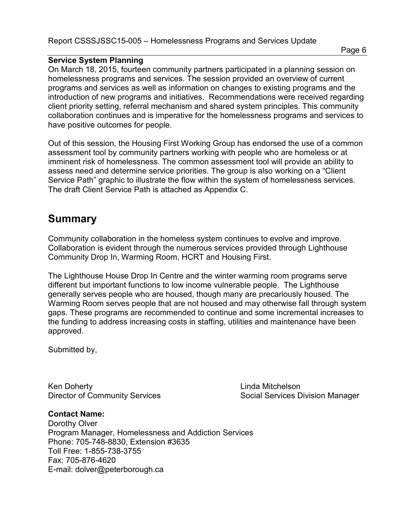### **Service System Planning**

On March 18, 2015, fourteen community partners participated in a planning session on homelessness programs and services. The session provided an overview of current programs and services as well as information on changes to existing programs and the introduction of new programs and initiatives. Recommendations were received regarding client priority setting, referral mechanism and shared system principles. This community collaboration continues and is imperative for the homelessness programs and services to have positive outcomes for people.

Out of this session, the Housing First Working Group has endorsed the use of a common assessment tool by community partners working with people who are homeless or at imminent risk of homelessness. The common assessment tool will provide an ability to assess need and determine service priorities. The group is also working on a "Client Service Path" graphic to illustrate the flow within the system of homelessness services. The draft Client Service Path is attached as Appendix C.

# **Summary**

Community collaboration in the homeless system continues to evolve and improve. Collaboration is evident through the numerous services provided through Lighthouse Community Drop In, Warming Room, HCRT and Housing First.

The Lighthouse House Drop In Centre and the winter warming room programs serve different but important functions to low income vulnerable people. The Lighthouse generally serves people who are housed, though many are precariously housed. The Warming Room serves people that are not housed and may otherwise fall through system gaps. These programs are recommended to continue and some incremental increases to the funding to address increasing costs in staffing, utilities and maintenance have been approved.

Submitted by,

Ken Doherty **Linda Mitchelson** 

Director of Community Services Social Services Division Manager

## **Contact Name:**

Dorothy Olver Program Manager, Homelessness and Addiction Services Phone: 705-748-8830, Extension #3635 Toll Free: 1-855-738-3755 Fax: 705-876-4620 E-mail: dolver@peterborough.ca